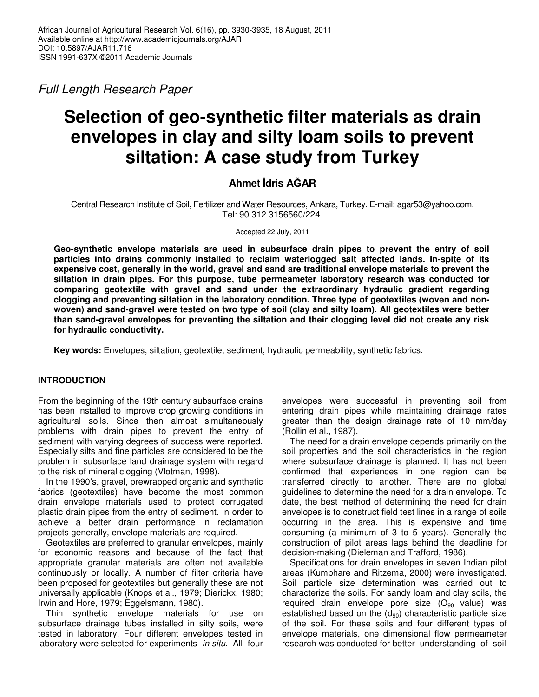*Full Length Research Paper*

# **Selection of geo-synthetic filter materials as drain envelopes in clay and silty loam soils to prevent siltation: A case study from Turkey**

# **Ahmet dris A**-**AR**

Central Research Institute of Soil, Fertilizer and Water Resources, Ankara, Turkey. E-mail: agar53@yahoo.com. Tel: 90 312 3156560/224.

Accepted 22 July, 2011

**Geo-synthetic envelope materials are used in subsurface drain pipes to prevent the entry of soil particles into drains commonly installed to reclaim waterlogged salt affected lands. In-spite of its expensive cost, generally in the world, gravel and sand are traditional envelope materials to prevent the siltation in drain pipes. For this purpose, tube permeameter laboratory research was conducted for comparing geotextile with gravel and sand under the extraordinary hydraulic gradient regarding clogging and preventing siltation in the laboratory condition. Three type of geotextiles (woven and non**woven) and sand-gravel were tested on two type of soil (clay and silty loam). All geotextiles were better **than sand-gravel envelopes for preventing the siltation and their clogging level did not create any risk for hydraulic conductivity.**

**Key words:** Envelopes, siltation, geotextile, sediment, hydraulic permeability, synthetic fabrics.

## **INTRODUCTION**

From the beginning of the 19th century subsurface drains has been installed to improve crop growing conditions in agricultural soils. Since then almost simultaneously problems with drain pipes to prevent the entry of sediment with varying degrees of success were reported. Especially silts and fine particles are considered to be the problem in subsurface land drainage system with regard to the risk of mineral clogging (Vlotman, 1998).

In the 1990's, gravel, prewrapped organic and synthetic fabrics (geotextiles) have become the most common drain envelope materials used to protect corrugated plastic drain pipes from the entry of sediment. In order to achieve a better drain performance in reclamation projects generally, envelope materials are required.

Geotextiles are preferred to granular envelopes, mainly for economic reasons and because of the fact that appropriate granular materials are often not available continuously or locally. A number of filter criteria have been proposed for geotextiles but generally these are not universally applicable (Knops et al., 1979; Dierickx, 1980; Irwin and Hore, 1979; Eggelsmann, 1980).

Thin synthetic envelope materials for use on subsurface drainage tubes installed in silty soils, were tested in laboratory. Four different envelopes tested in laboratory were selected for experiments *in situ*. All four

envelopes were successful in preventing soil from entering drain pipes while maintaining drainage rates greater than the design drainage rate of 10 mm/day (Rollin et al., 1987).

The need for a drain envelope depends primarily on the soil properties and the soil characteristics in the region where subsurface drainage is planned. It has not been confirmed that experiences in one region can be transferred directly to another. There are no global guidelines to determine the need for a drain envelope. To date, the best method of determining the need for drain envelopes is to construct field test lines in a range of soils occurring in the area. This is expensive and time consuming (a minimum of 3 to 5 years). Generally the construction of pilot areas lags behind the deadline for decision-making (Dieleman and Trafford, 1986).

Specifications for drain envelopes in seven Indian pilot areas (Kumbhare and Ritzema, 2000) were investigated. Soil particle size determination was carried out to characterize the soils. For sandy loam and clay soils, the required drain envelope pore size  $(O_{90}$  value) was established based on the  $(d_{90})$  characteristic particle size of the soil. For these soils and four different types of envelope materials, one dimensional flow permeameter research was conducted for better understanding of soil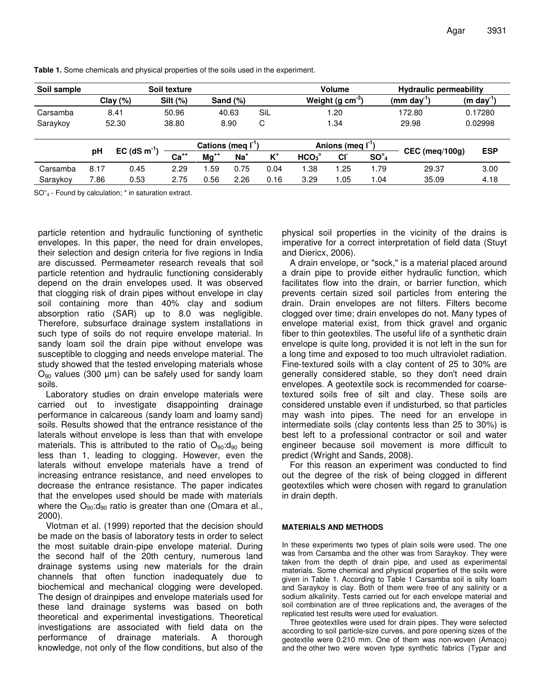| Soil sample | Soil texture |                            |                         |           |                 |       | <b>Volume</b>                        |           |                              | <b>Hydraulic permeability</b>   |                        |
|-------------|--------------|----------------------------|-------------------------|-----------|-----------------|-------|--------------------------------------|-----------|------------------------------|---------------------------------|------------------------|
|             | Clay $(\%)$  |                            | Silt (%)<br>Sand $(\%)$ |           |                 |       | Weight (g $cm^{-3}$ )                |           |                              | $(mm \, \text{day}^{\text{-}})$ | $(m \text{ day}^{-1})$ |
| Carsamba    | 8.41         |                            | 50.96                   | 40.63     |                 | Sil   | 1.20                                 |           |                              | 172.80                          | 0.17280                |
| Saraykoy    | 52.30        |                            | 38.80                   | 8.90      |                 | С     | 1.34                                 |           |                              | 29.98                           | 0.02998                |
|             |              |                            | Cations (meg I          |           |                 |       | Anions (meq $\mathbf{I}^{\text{-}1}$ |           |                              |                                 |                        |
|             | рH           | $EC$ (dS m <sup>-1</sup> ) | $Ca++$                  | $Ma^{++}$ | Na <sup>+</sup> | $K^+$ | HCO <sub>3</sub>                     | <b>CI</b> | SO <sup>z</sup> <sub>4</sub> | <b>CEC</b> (meg/100g)           | <b>ESP</b>             |
| Carsamba    | 8.17         | 0.45                       | 2.29                    | .59       | 0.75            | 0.04  | .38                                  | 1.25      | 1.79                         | 29.37                           | 3.00                   |
| Saraykoy    | 7.86         | 0.53                       | 2.75                    | 0.56      | 2.26            | 0.16  | 3.29                                 | 1.05      | 1.04                         | 35.09                           | 4.18                   |

**Table 1.** Some chemicals and physical properties of the soils used in the experiment.

SO<sup>-</sup><sub>4</sub> - Found by calculation; \* in saturation extract.

particle retention and hydraulic functioning of synthetic envelopes. In this paper, the need for drain envelopes, their selection and design criteria for five regions in India are discussed. Permeameter research reveals that soil particle retention and hydraulic functioning considerably depend on the drain envelopes used. It was observed that clogging risk of drain pipes without envelope in clay soil containing more than 40% clay and sodium absorption ratio (SAR) up to 8.0 was negligible. Therefore, subsurface drainage system installations in such type of soils do not require envelope material. In sandy loam soil the drain pipe without envelope was susceptible to clogging and needs envelope material. The study showed that the tested enveloping materials whose  $O_{90}$  values (300 µm) can be safely used for sandy loam soils.

Laboratory studies on drain envelope materials were carried out to investigate disappointing drainage performance in calcareous (sandy loam and loamy sand) soils. Results showed that the entrance resistance of the laterals without envelope is less than that with envelope materials. This is attributed to the ratio of  $O_{90}$ : $d_{90}$  being less than 1, leading to clogging. However, even the laterals without envelope materials have a trend of increasing entrance resistance, and need envelopes to decrease the entrance resistance. The paper indicates that the envelopes used should be made with materials where the  $O_{90}$ : $d_{90}$  ratio is greater than one (Omara et al., 2000).

Vlotman et al. (1999) reported that the decision should be made on the basis of laboratory tests in order to select the most suitable drain-pipe envelope material. During the second half of the 20th century, numerous land drainage systems using new materials for the drain channels that often function inadequately due to biochemical and mechanical clogging were developed. The design of drainpipes and envelope materials used for these land drainage systems was based on both theoretical and experimental investigations. Theoretical investigations are associated with field data on the performance of drainage materials. A thorough knowledge, not only of the flow conditions, but also of the physical soil properties in the vicinity of the drains is imperative for a correct interpretation of field data (Stuyt and Diericx, 2006).

A drain envelope, or "sock," is a material placed around a drain pipe to provide either hydraulic function*,* which facilitates flow into the drain, or barrier function, which prevents certain sized soil particles from entering the drain. Drain envelopes are not filters. Filters become clogged over time; drain envelopes do not. Many types of envelope material exist, from thick gravel and organic fiber to thin geotextiles. The useful life of a synthetic drain envelope is quite long, provided it is not left in the sun for a long time and exposed to too much ultraviolet radiation. Fine-textured soils with a clay content of 25 to 30% are generally considered stable, so they don't need drain envelopes. A geotextile sock is recommended for coarsetextured soils free of silt and clay. These soils are considered unstable even if undisturbed, so that particles may wash into pipes. The need for an envelope in intermediate soils (clay contents less than 25 to 30%) is best left to a professional contractor or soil and water engineer because soil movement is more difficult to predict (Wright and Sands, 2008).

For this reason an experiment was conducted to find out the degree of the risk of being clogged in different geotextiles which were chosen with regard to granulation in drain depth.

#### **MATERIALS AND METHODS**

In these experiments two types of plain soils were used. The one was from Carsamba and the other was from Saraykoy. They were taken from the depth of drain pipe, and used as experimental materials. Some chemical and physical properties of the soils were given in Table 1. According to Table 1 Carsamba soil is silty loam and Saraykoy is clay. Both of them were free of any salinity or a sodium alkalinity. Tests carried out for each envelope material and soil combination are of three replications and, the averages of the replicated test results were used for evaluation.

Three geotextiles were used for drain pipes. They were selected according to soil particle-size curves, and pore opening sizes of the geotextile were 0.210 mm. One of them was non-woven (Amaco) and the other two were woven type synthetic fabrics (Typar and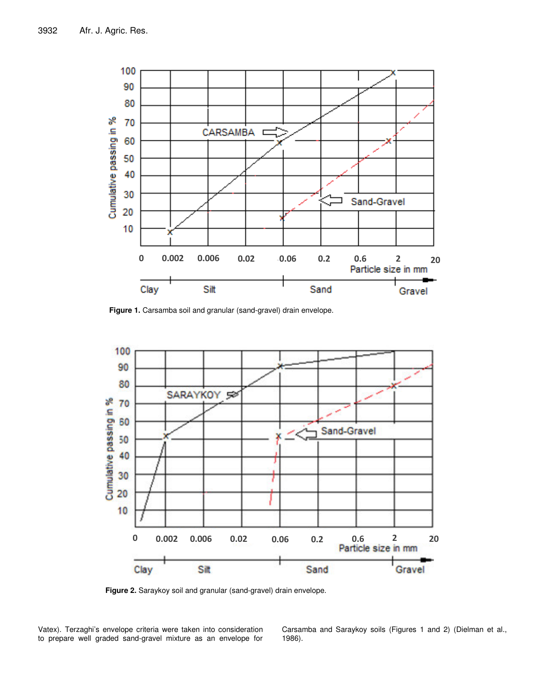

**Figure 1.** Carsamba soil and granular (sand-gravel) drain envelope.



**Figure 2.** Saraykoy soil and granular (sand-gravel) drain envelope.

Vatex). Terzaghi's envelope criteria were taken into consideration to prepare well graded sand-gravel mixture as an envelope for Carsamba and Saraykoy soils (Figures 1 and 2) (Dielman et al., 1986).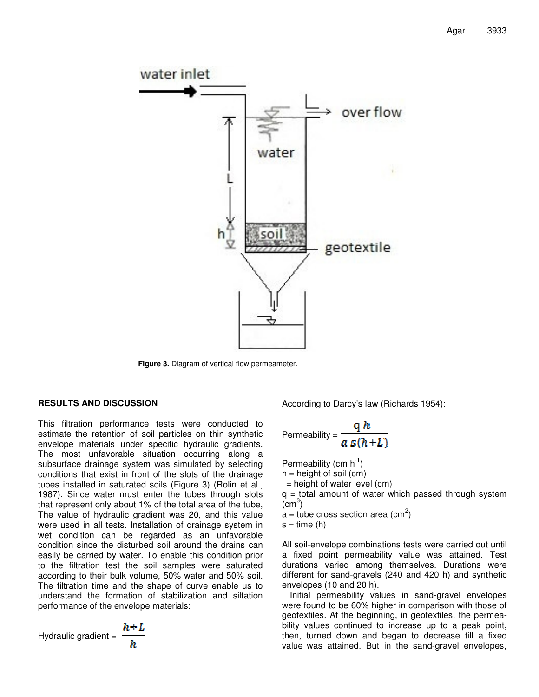

**Figure 3.** Diagram of vertical flow permeameter.

## **RESULTS AND DISCUSSION**

This filtration performance tests were conducted to estimate the retention of soil particles on thin synthetic envelope materials under specific hydraulic gradients. The most unfavorable situation occurring along a subsurface drainage system was simulated by selecting conditions that exist in front of the slots of the drainage tubes installed in saturated soils (Figure 3) (Rolin et al., 1987). Since water must enter the tubes through slots that represent only about 1% of the total area of the tube, The value of hydraulic gradient was 20, and this value were used in all tests. Installation of drainage system in wet condition can be regarded as an unfavorable condition since the disturbed soil around the drains can easily be carried by water. To enable this condition prior to the filtration test the soil samples were saturated according to their bulk volume, 50% water and 50% soil. The filtration time and the shape of curve enable us to understand the formation of stabilization and siltation performance of the envelope materials:

According to Darcy's law (Richards 1954):

Permeability = 
$$
\frac{q h}{a s (h+L)}
$$

Permeability (cm  $h^{-1}$ )  $h =$  height of soil (cm)  $l = height of water level (cm)$  $q =$  total amount of water which passed through system  $\sim$ <sup>3</sup>)  $\mathsf{a}$  = tube cross section area (cm<sup>2</sup>)

 $s = time(h)$ 

All soil-envelope combinations tests were carried out until a fixed point permeability value was attained. Test durations varied among themselves. Durations were different for sand-gravels (240 and 420 h) and synthetic envelopes (10 and 20 h).

Initial permeability values in sand-gravel envelopes were found to be 60% higher in comparison with those of geotextiles. At the beginning, in geotextiles, the permeability values continued to increase up to a peak point, then, turned down and began to decrease till a fixed value was attained. But in the sand-gravel envelopes,

h.+ I. Hydraulic gradient =

$$
=\frac{n}{h}
$$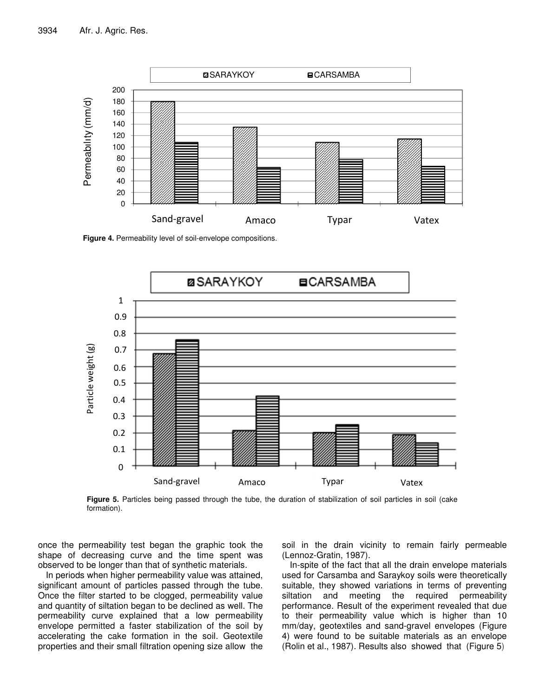

**Figure 4.** Permeability level of soil-envelope compositions.



**Figure 5.** Particles being passed through the tube, the duration of stabilization of soil particles in soil (cake formation).

once the permeability test began the graphic took the shape of decreasing curve and the time spent was observed to be longer than that of synthetic materials.

In periods when higher permeability value was attained, significant amount of particles passed through the tube. Once the filter started to be clogged, permeability value and quantity of siltation began to be declined as well. The permeability curve explained that a low permeability envelope permitted a faster stabilization of the soil by accelerating the cake formation in the soil. Geotextile properties and their small filtration opening size allow the soil in the drain vicinity to remain fairly permeable (Lennoz-Gratin, 1987).

In-spite of the fact that all the drain envelope materials used for Carsamba and Saraykoy soils were theoretically suitable, they showed variations in terms of preventing siltation and meeting the required permeability performance. Result of the experiment revealed that due to their permeability value which is higher than 10 mm/day, geotextiles and sand-gravel envelopes (Figure 4) were found to be suitable materials as an envelope (Rolin et al., 1987). Results also showed that (Figure 5)